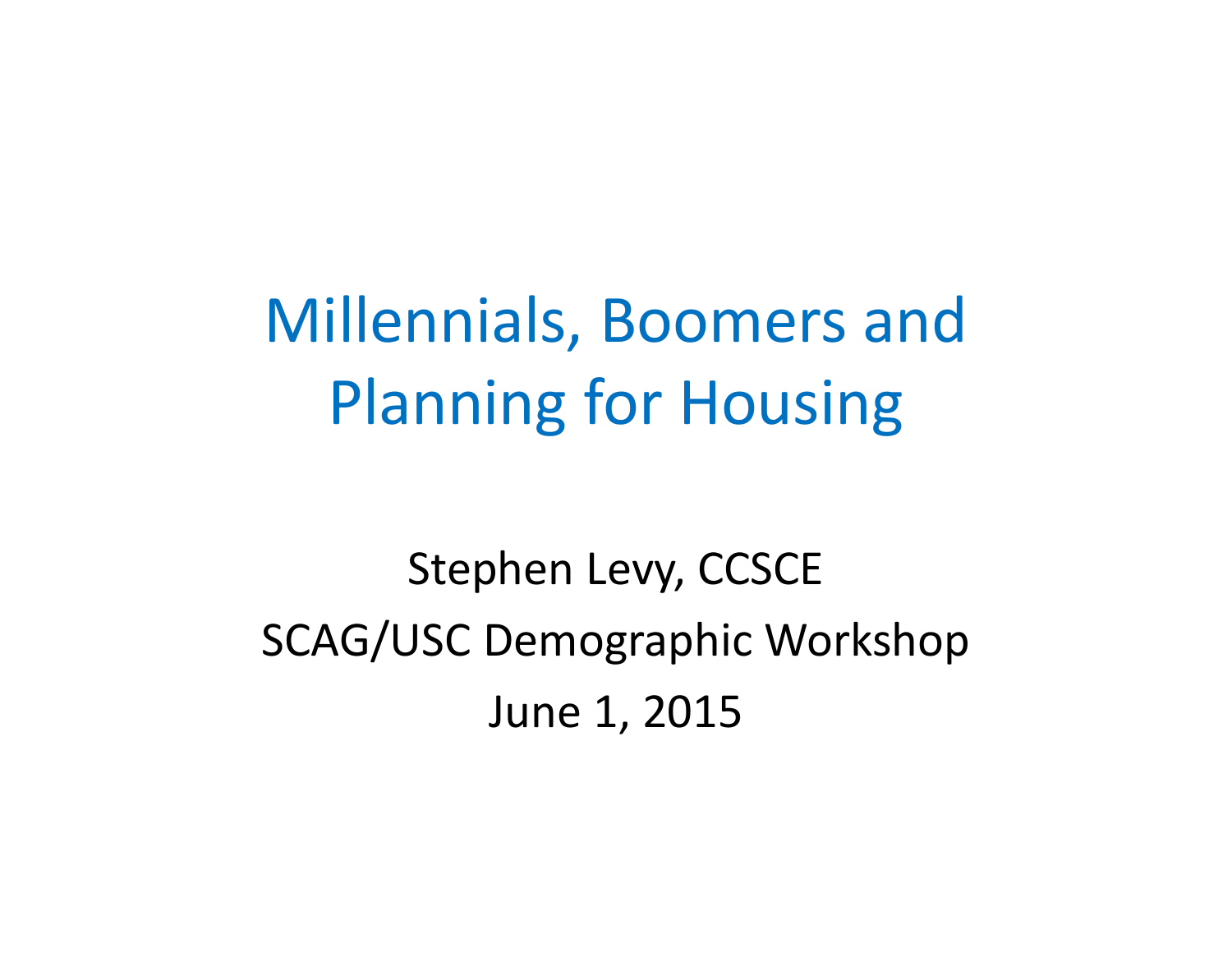Millennials, Boomers and Planning for Housing

Stephen Levy, CCSCE SCAG/USC Demographic Workshop June 1, 2015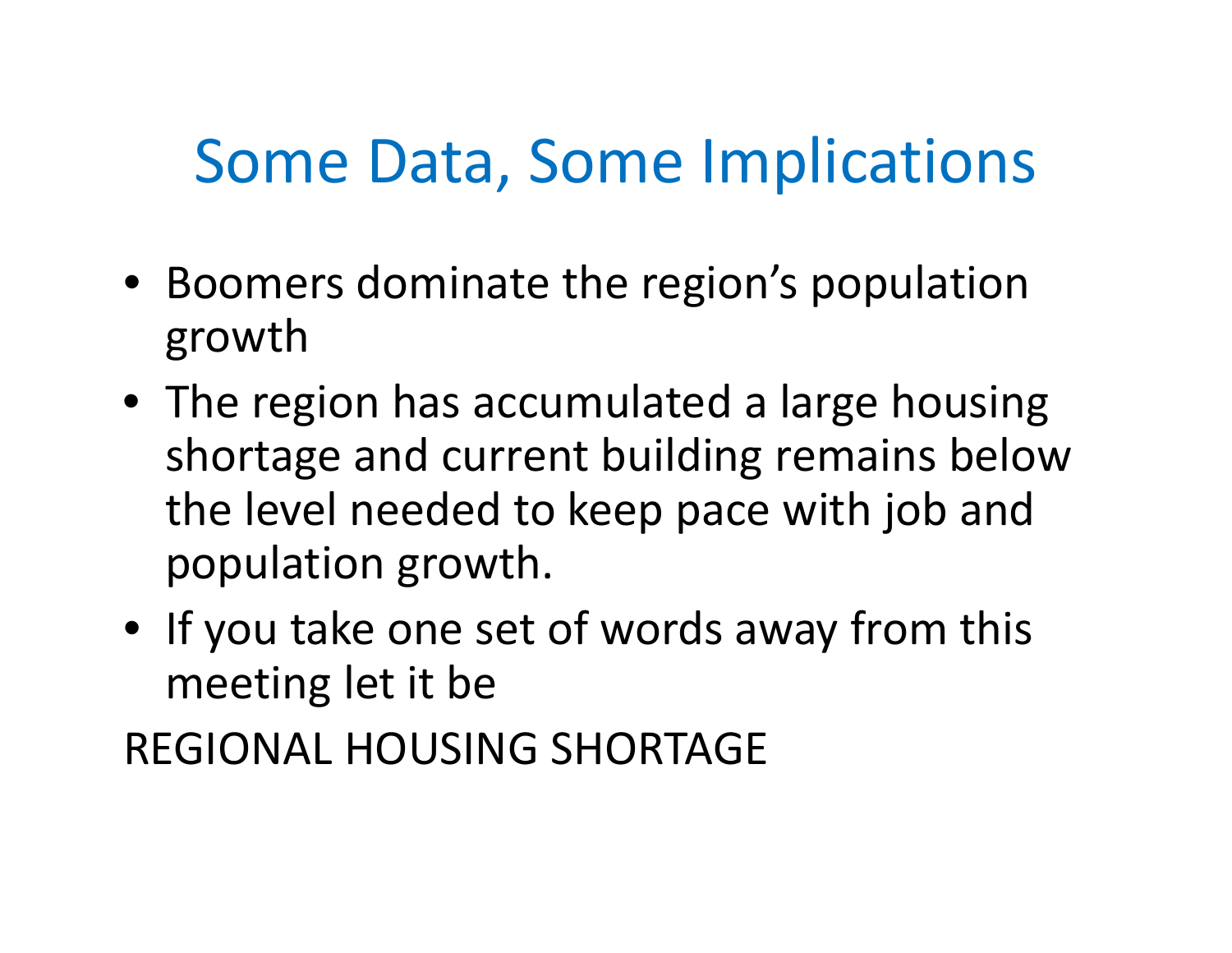# Some Data, Some Implications

- Boomers dominate the region's population growth
- The region has accumulated <sup>a</sup> large housing shortage and current building remains below the level needed to keep pace with job and population growth.
- If you take one set of words away from this meeting let it be

REGIONAL HOUSING SHORTAGE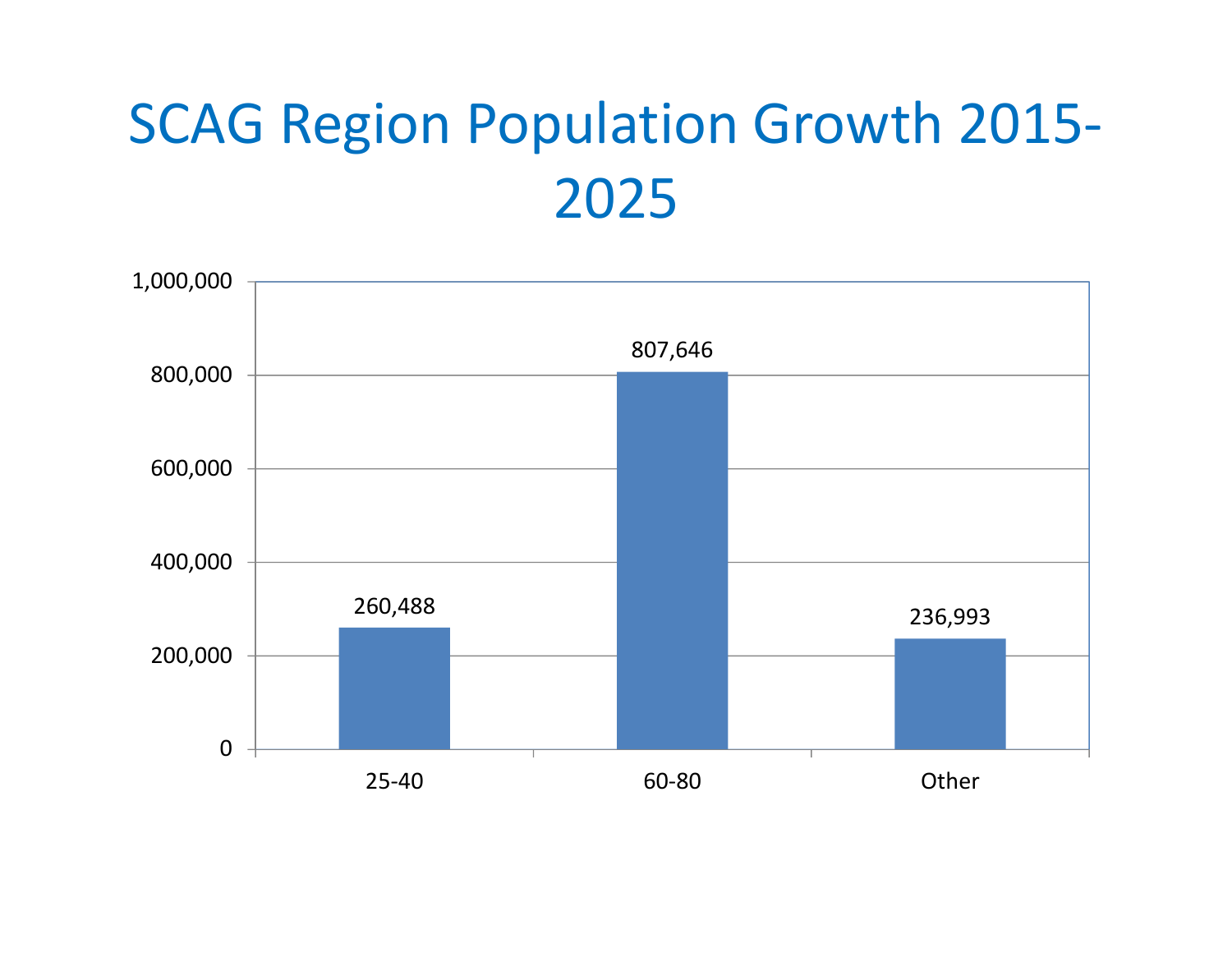### SCAG Region Population Growth 2015‐ 2025

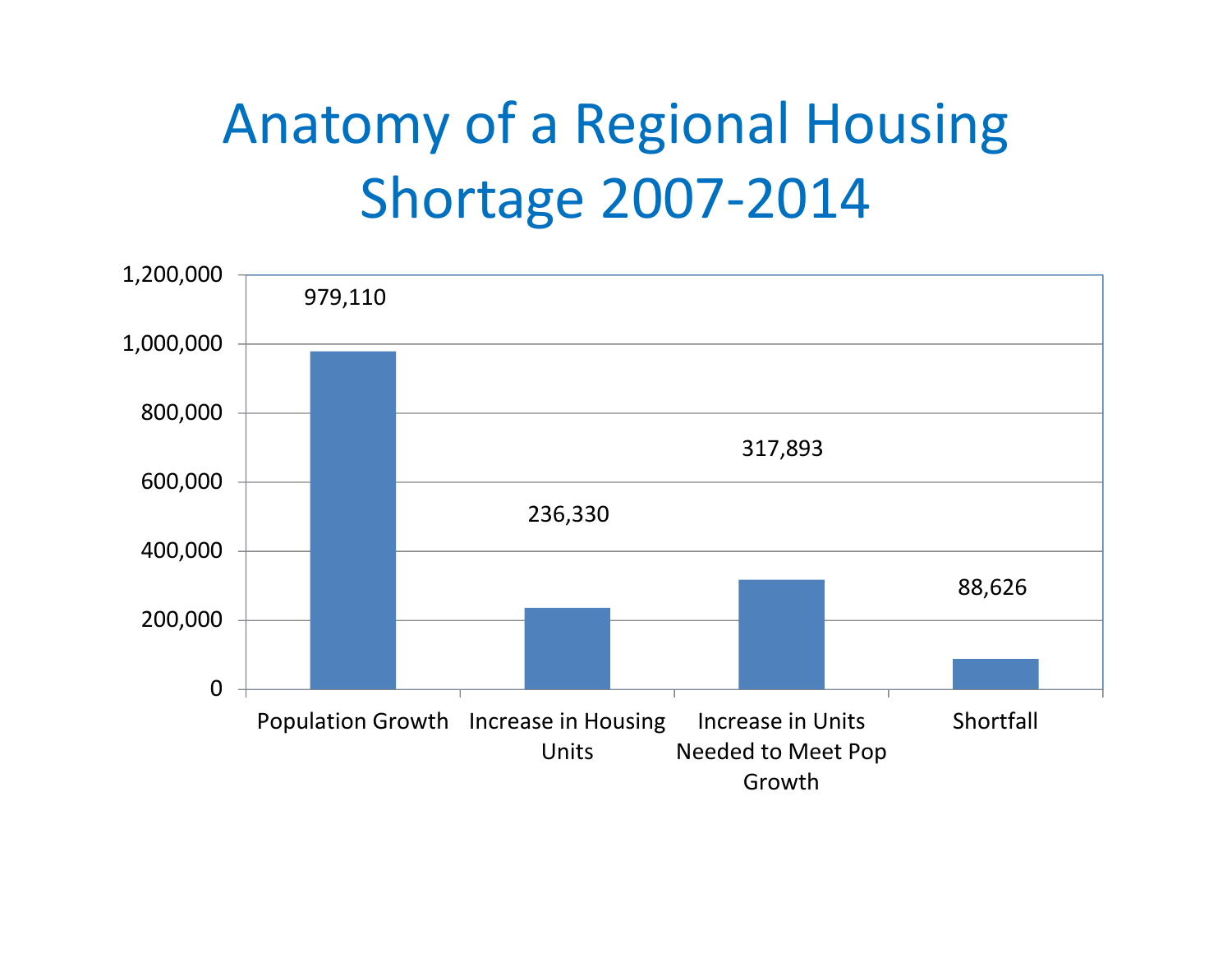# Anatomy of <sup>a</sup> Regional Housing Shortage 2007‐2014

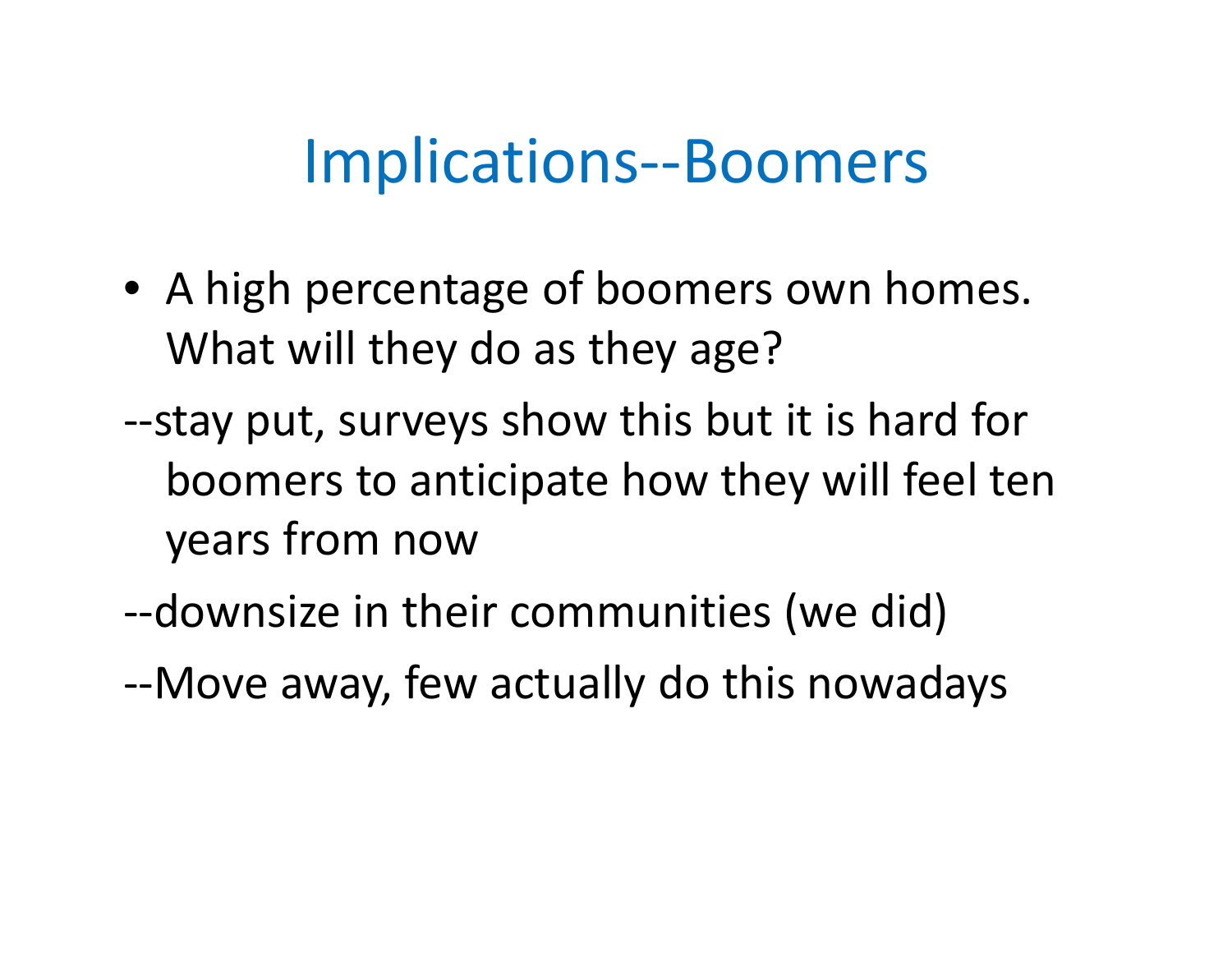#### Implications‐‐Boomers

- A high percentage of boomers own homes. What will they do as they age?
- ‐‐stay put, surveys show this but it is hard for boomers to anticipate how they will feel ten years from now
- ‐‐downsize in their communities (we did)
- ‐‐Move away, few actually do this nowadays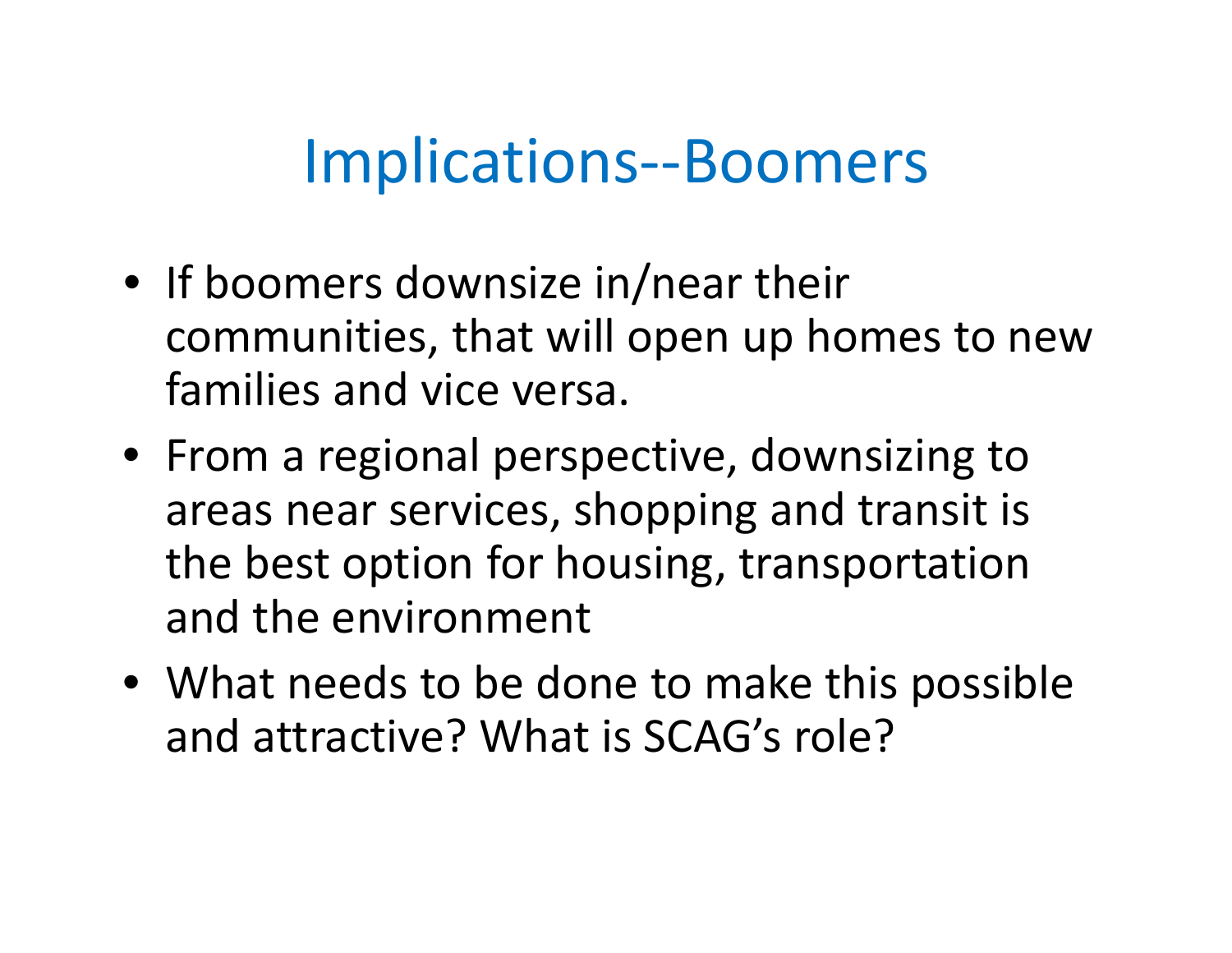### Implications‐‐Boomers

- If boomers downsize in/near their communities, that will open up homes to new families and vice versa.
- From <sup>a</sup> regional perspective, downsizing to areas near services, shopping and transit is the best option for housing, transportation and the environment
- What needs to be done to make this possible and attractive? What is SCAG's role?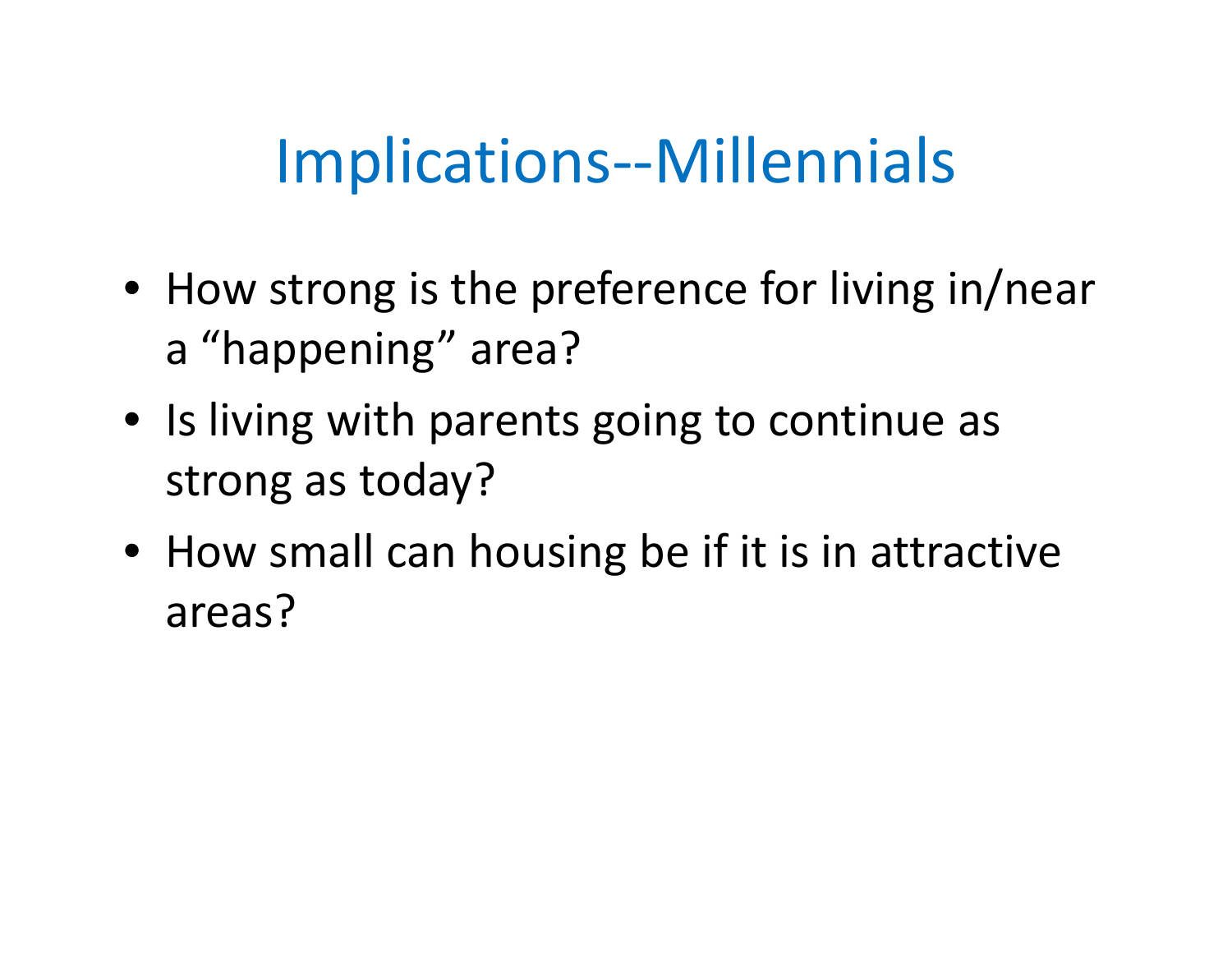# Implications‐‐Millennials

- How strong is the preference for living in/near a "happening" area?
- Is living with parents going to continue as strong as today?
- How small can housing be if it is in attractive areas?